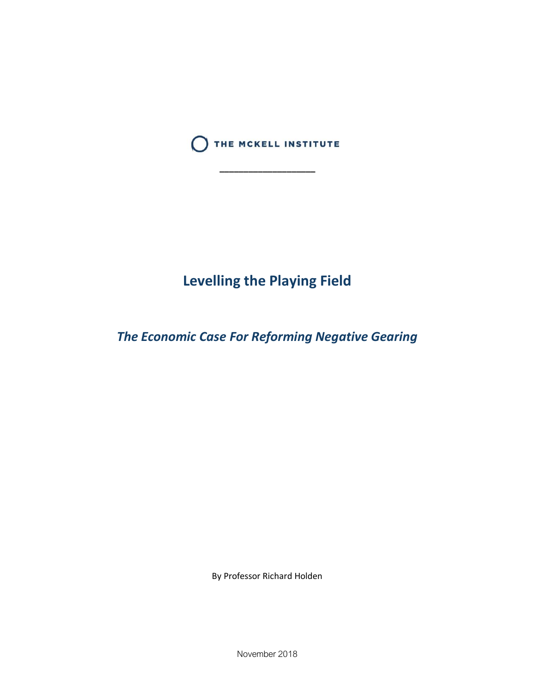

**\_\_\_\_\_\_\_\_\_\_\_\_\_\_\_\_\_\_\_\_**

# **Levelling the Playing Field**

*The Economic Case For Reforming Negative Gearing* 

By Professor Richard Holden

November 2018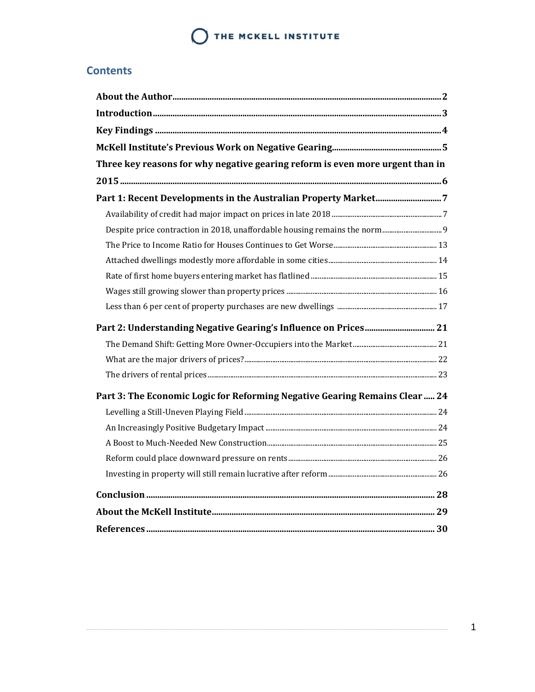### **Contents**

| Three key reasons for why negative gearing reform is even more urgent than in |  |
|-------------------------------------------------------------------------------|--|
|                                                                               |  |
|                                                                               |  |
|                                                                               |  |
|                                                                               |  |
|                                                                               |  |
|                                                                               |  |
|                                                                               |  |
|                                                                               |  |
|                                                                               |  |
|                                                                               |  |
|                                                                               |  |
|                                                                               |  |
|                                                                               |  |
| Part 3: The Economic Logic for Reforming Negative Gearing Remains Clear  24   |  |
|                                                                               |  |
|                                                                               |  |
|                                                                               |  |
|                                                                               |  |
|                                                                               |  |
|                                                                               |  |
|                                                                               |  |
|                                                                               |  |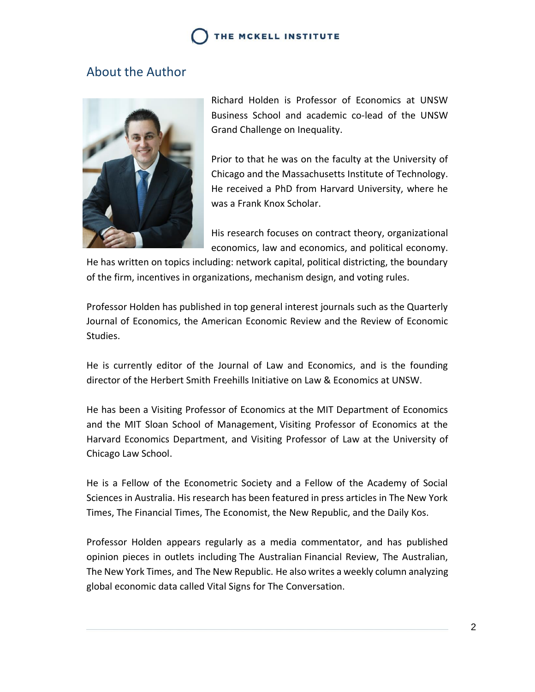### <span id="page-2-0"></span>About the Author



Richard Holden is Professor of Economics at UNSW Business School and academic co-lead of the UNSW Grand Challenge on Inequality.

Prior to that he was on the faculty at the University of Chicago and the Massachusetts Institute of Technology. He received a PhD from Harvard University, where he was a Frank Knox Scholar.

His research focuses on contract theory, organizational economics, law and economics, and political economy.

He has written on topics including: network capital, political districting, the boundary of the firm, incentives in organizations, mechanism design, and voting rules.

Professor Holden has published in top general interest journals such as the Quarterly Journal of Economics, the American Economic Review and the Review of Economic Studies.

He is currently editor of the Journal of Law and Economics, and is the founding director of the Herbert Smith Freehills Initiative on Law & Economics at UNSW.

He has been a Visiting Professor of Economics at the MIT Department of Economics and the MIT Sloan School of Management, Visiting Professor of Economics at the Harvard Economics Department, and Visiting Professor of Law at the University of Chicago Law School.

He is a Fellow of the Econometric Society and a Fellow of the Academy of Social Sciences in Australia. His research has been featured in press articles in The New York Times, The Financial Times, The Economist, the New Republic, and the Daily Kos.

Professor Holden appears regularly as a media commentator, and has published opinion pieces in outlets including The Australian Financial Review, The Australian, The New York Times, and The New Republic. He also writes a weekly column analyzing global economic data called Vital Signs for The Conversation.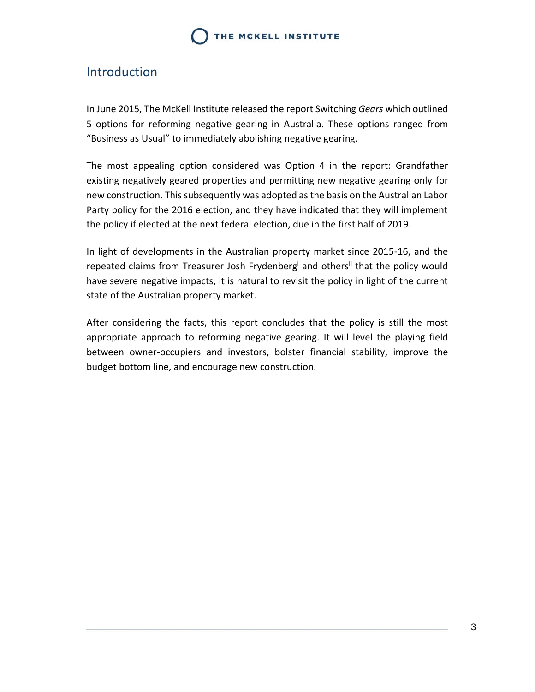### <span id="page-3-0"></span>Introduction

In June 2015, The McKell Institute released the report Switching *Gears* which outlined 5 options for reforming negative gearing in Australia. These options ranged from "Business as Usual" to immediately abolishing negative gearing.

The most appealing option considered was Option 4 in the report: Grandfather existing negatively geared properties and permitting new negative gearing only for new construction. This subsequently was adopted as the basis on the Australian Labor Party policy for the 2016 election, and they have indicated that they will implement the policy if elected at the next federal election, due in the first half of 2019.

In light of developments in the Australian property market since 2015-16, and the repeated claims from Treasurer Josh Frydenberg<sup>i</sup> and others<sup>ii</sup> that the policy would have severe negative impacts, it is natural to revisit the policy in light of the current state of the Australian property market.

After considering the facts, this report concludes that the policy is still the most appropriate approach to reforming negative gearing. It will level the playing field between owner-occupiers and investors, bolster financial stability, improve the budget bottom line, and encourage new construction.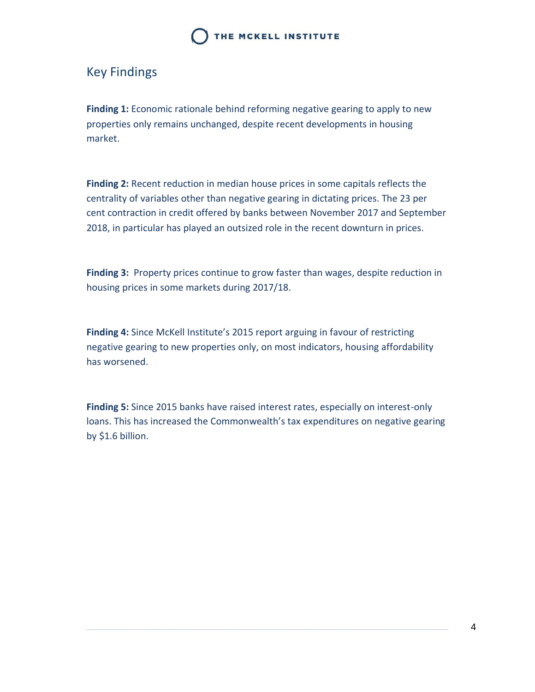## <span id="page-4-0"></span>Key Findings

**Finding 1:** Economic rationale behind reforming negative gearing to apply to new properties only remains unchanged, despite recent developments in housing market.

**Finding 2:** Recent reduction in median house prices in some capitals reflects the centrality of variables other than negative gearing in dictating prices. The 23 per cent contraction in credit offered by banks between November 2017 and September 2018, in particular has played an outsized role in the recent downturn in prices.

**Finding 3:** Property prices continue to grow faster than wages, despite reduction in housing prices in some markets during 2017/18.

**Finding 4:** Since McKell Institute's 2015 report arguing in favour of restricting negative gearing to new properties only, on most indicators, housing affordability has worsened.

**Finding 5:** Since 2015 banks have raised interest rates, especially on interest-only loans. This has increased the Commonwealth's tax expenditures on negative gearing by \$1.6 billion.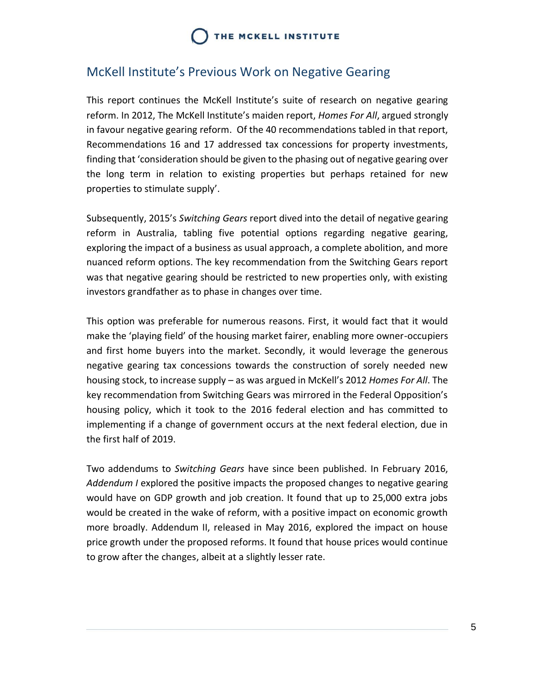## <span id="page-5-0"></span>McKell Institute's Previous Work on Negative Gearing

This report continues the McKell Institute's suite of research on negative gearing reform. In 2012, The McKell Institute's maiden report, *Homes For All*, argued strongly in favour negative gearing reform. Of the 40 recommendations tabled in that report, Recommendations 16 and 17 addressed tax concessions for property investments, finding that 'consideration should be given to the phasing out of negative gearing over the long term in relation to existing properties but perhaps retained for new properties to stimulate supply'.

Subsequently, 2015's *Switching Gears* report dived into the detail of negative gearing reform in Australia, tabling five potential options regarding negative gearing, exploring the impact of a business as usual approach, a complete abolition, and more nuanced reform options. The key recommendation from the Switching Gears report was that negative gearing should be restricted to new properties only, with existing investors grandfather as to phase in changes over time.

This option was preferable for numerous reasons. First, it would fact that it would make the 'playing field' of the housing market fairer, enabling more owner-occupiers and first home buyers into the market. Secondly, it would leverage the generous negative gearing tax concessions towards the construction of sorely needed new housing stock, to increase supply – as was argued in McKell's 2012 *Homes For All*. The key recommendation from Switching Gears was mirrored in the Federal Opposition's housing policy, which it took to the 2016 federal election and has committed to implementing if a change of government occurs at the next federal election, due in the first half of 2019.

Two addendums to *Switching Gears* have since been published. In February 2016, *Addendum I* explored the positive impacts the proposed changes to negative gearing would have on GDP growth and job creation. It found that up to 25,000 extra jobs would be created in the wake of reform, with a positive impact on economic growth more broadly. Addendum II, released in May 2016, explored the impact on house price growth under the proposed reforms. It found that house prices would continue to grow after the changes, albeit at a slightly lesser rate.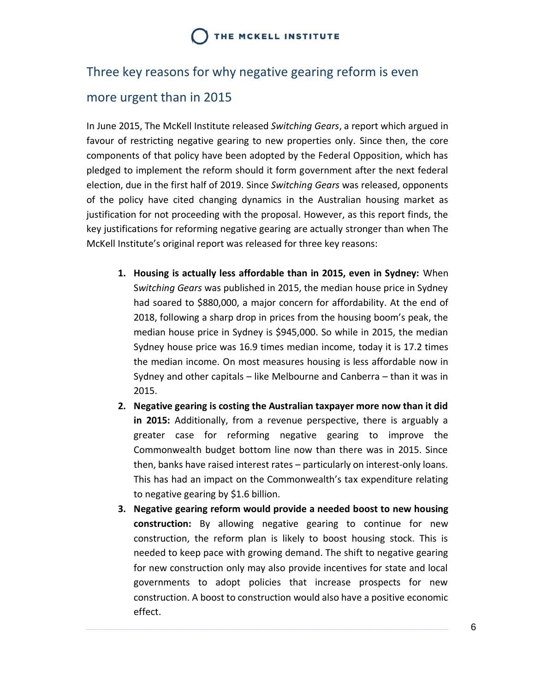# <span id="page-6-0"></span>Three key reasons for why negative gearing reform is even

### more urgent than in 2015

In June 2015, The McKell Institute released *Switching Gears*, a report which argued in favour of restricting negative gearing to new properties only. Since then, the core components of that policy have been adopted by the Federal Opposition, which has pledged to implement the reform should it form government after the next federal election, due in the first half of 2019. Since *Switching Gears* was released, opponents of the policy have cited changing dynamics in the Australian housing market as justification for not proceeding with the proposal. However, as this report finds, the key justifications for reforming negative gearing are actually stronger than when The McKell Institute's original report was released for three key reasons:

- **1. Housing is actually less affordable than in 2015, even in Sydney:** When S*witching Gears* was published in 2015, the median house price in Sydney had soared to \$880,000, a major concern for affordability. At the end of 2018, following a sharp drop in prices from the housing boom's peak, the median house price in Sydney is \$945,000. So while in 2015, the median Sydney house price was 16.9 times median income, today it is 17.2 times the median income. On most measures housing is less affordable now in Sydney and other capitals – like Melbourne and Canberra – than it was in 2015.
- **2. Negative gearing is costing the Australian taxpayer more now than it did in 2015:** Additionally, from a revenue perspective, there is arguably a greater case for reforming negative gearing to improve the Commonwealth budget bottom line now than there was in 2015. Since then, banks have raised interest rates – particularly on interest-only loans. This has had an impact on the Commonwealth's tax expenditure relating to negative gearing by \$1.6 billion.
- **3. Negative gearing reform would provide a needed boost to new housing construction:** By allowing negative gearing to continue for new construction, the reform plan is likely to boost housing stock. This is needed to keep pace with growing demand. The shift to negative gearing for new construction only may also provide incentives for state and local governments to adopt policies that increase prospects for new construction. A boost to construction would also have a positive economic effect.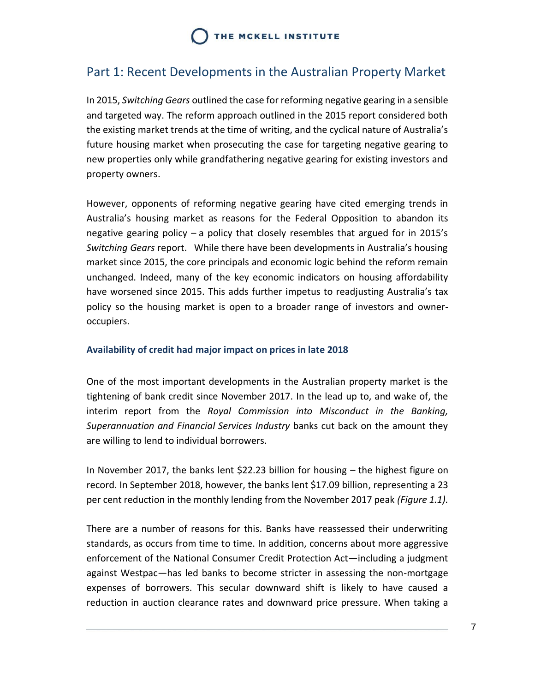## <span id="page-7-0"></span>Part 1: Recent Developments in the Australian Property Market

In 2015, *Switching Gears* outlined the case for reforming negative gearing in a sensible and targeted way. The reform approach outlined in the 2015 report considered both the existing market trends at the time of writing, and the cyclical nature of Australia's future housing market when prosecuting the case for targeting negative gearing to new properties only while grandfathering negative gearing for existing investors and property owners.

However, opponents of reforming negative gearing have cited emerging trends in Australia's housing market as reasons for the Federal Opposition to abandon its negative gearing policy – a policy that closely resembles that argued for in 2015's *Switching Gears* report. While there have been developments in Australia's housing market since 2015, the core principals and economic logic behind the reform remain unchanged. Indeed, many of the key economic indicators on housing affordability have worsened since 2015. This adds further impetus to readjusting Australia's tax policy so the housing market is open to a broader range of investors and owneroccupiers.

### <span id="page-7-1"></span>**Availability of credit had major impact on prices in late 2018**

One of the most important developments in the Australian property market is the tightening of bank credit since November 2017. In the lead up to, and wake of, the interim report from the *Royal Commission into Misconduct in the Banking, Superannuation and Financial Services Industry* banks cut back on the amount they are willing to lend to individual borrowers.

In November 2017, the banks lent \$22.23 billion for housing – the highest figure on record. In September 2018, however, the banks lent \$17.09 billion, representing a 23 per cent reduction in the monthly lending from the November 2017 peak *(Figure 1.1).*

There are a number of reasons for this. Banks have reassessed their underwriting standards, as occurs from time to time. In addition, concerns about more aggressive enforcement of the National Consumer Credit Protection Act—including a judgment against Westpac—has led banks to become stricter in assessing the non-mortgage expenses of borrowers. This secular downward shift is likely to have caused a reduction in auction clearance rates and downward price pressure. When taking a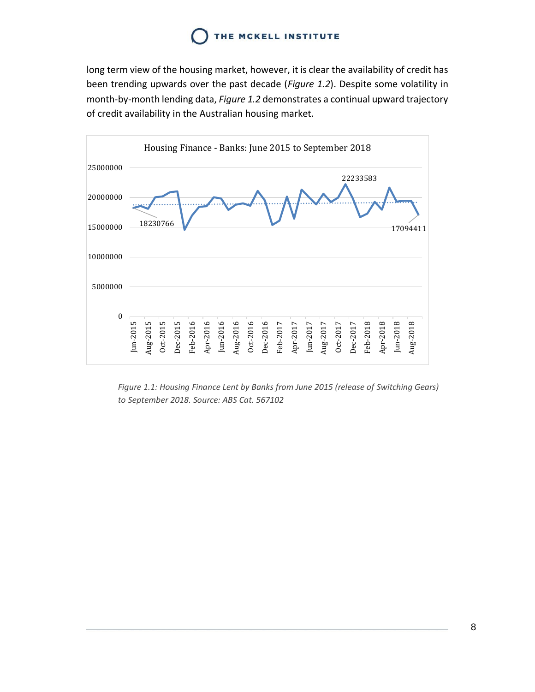long term view of the housing market, however, it is clear the availability of credit has been trending upwards over the past decade (*Figure 1.2*). Despite some volatility in month-by-month lending data, *Figure 1.2* demonstrates a continual upward trajectory of credit availability in the Australian housing market.



*Figure 1.1: Housing Finance Lent by Banks from June 2015 (release of Switching Gears) to September 2018. Source: ABS Cat. 567102*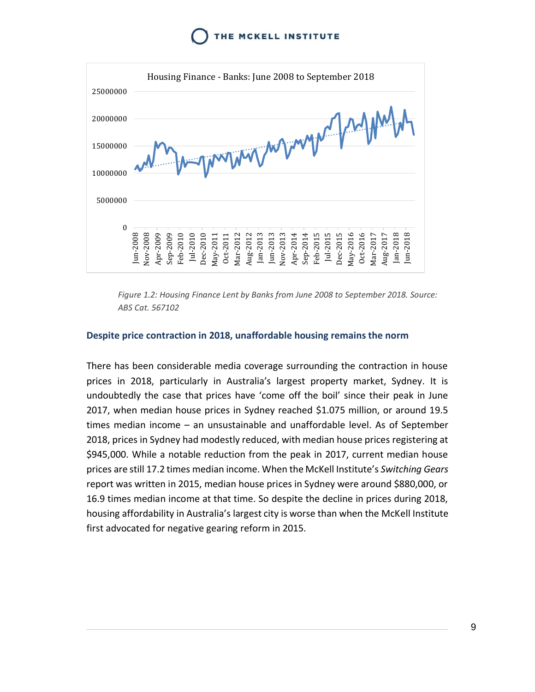

*Figure 1.2: Housing Finance Lent by Banks from June 2008 to September 2018. Source: ABS Cat. 567102*

#### <span id="page-9-0"></span>**Despite price contraction in 2018, unaffordable housing remains the norm**

There has been considerable media coverage surrounding the contraction in house prices in 2018, particularly in Australia's largest property market, Sydney. It is undoubtedly the case that prices have 'come off the boil' since their peak in June 2017, when median house prices in Sydney reached \$1.075 million, or around 19.5 times median income – an unsustainable and unaffordable level. As of September 2018, prices in Sydney had modestly reduced, with median house prices registering at \$945,000. While a notable reduction from the peak in 2017, current median house prices are still 17.2 times median income. When the McKell Institute's *Switching Gears* report was written in 2015, median house prices in Sydney were around \$880,000, or 16.9 times median income at that time. So despite the decline in prices during 2018, housing affordability in Australia's largest city is worse than when the McKell Institute first advocated for negative gearing reform in 2015.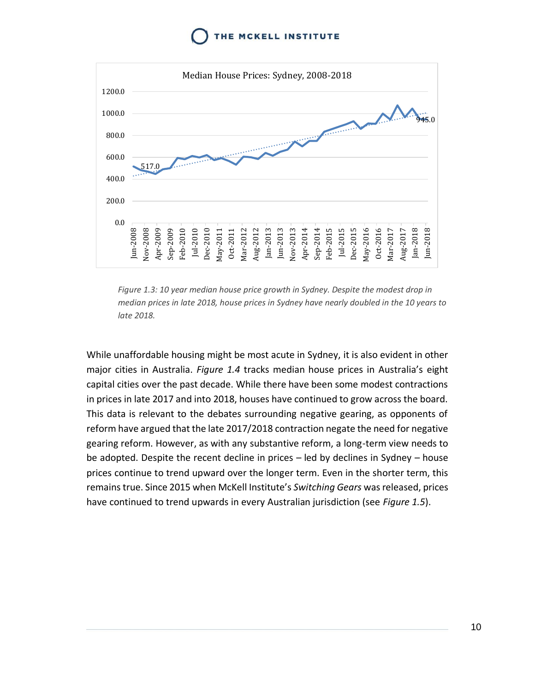

*Figure 1.3: 10 year median house price growth in Sydney. Despite the modest drop in median prices in late 2018, house prices in Sydney have nearly doubled in the 10 years to late 2018.* 

While unaffordable housing might be most acute in Sydney, it is also evident in other major cities in Australia. *Figure 1.4* tracks median house prices in Australia's eight capital cities over the past decade. While there have been some modest contractions in prices in late 2017 and into 2018, houses have continued to grow across the board. This data is relevant to the debates surrounding negative gearing, as opponents of reform have argued that the late 2017/2018 contraction negate the need for negative gearing reform. However, as with any substantive reform, a long-term view needs to be adopted. Despite the recent decline in prices – led by declines in Sydney – house prices continue to trend upward over the longer term. Even in the shorter term, this remains true. Since 2015 when McKell Institute's *Switching Gears* was released, prices have continued to trend upwards in every Australian jurisdiction (see *Figure 1.5*).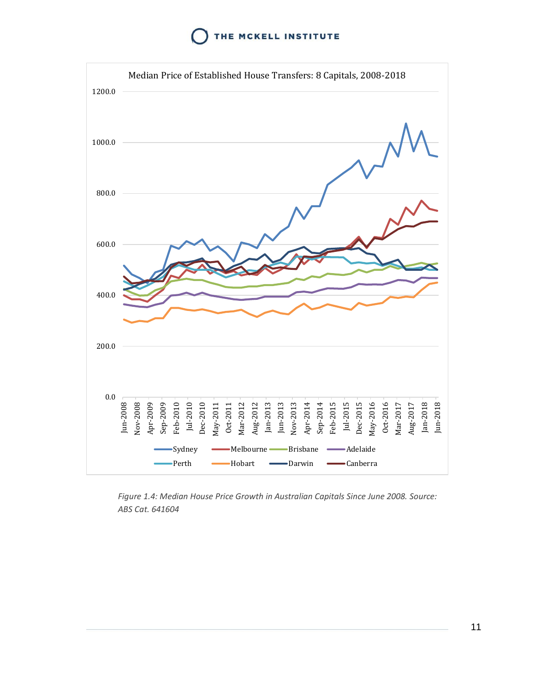

*Figure 1.4: Median House Price Growth in Australian Capitals Since June 2008. Source: ABS Cat. 641604*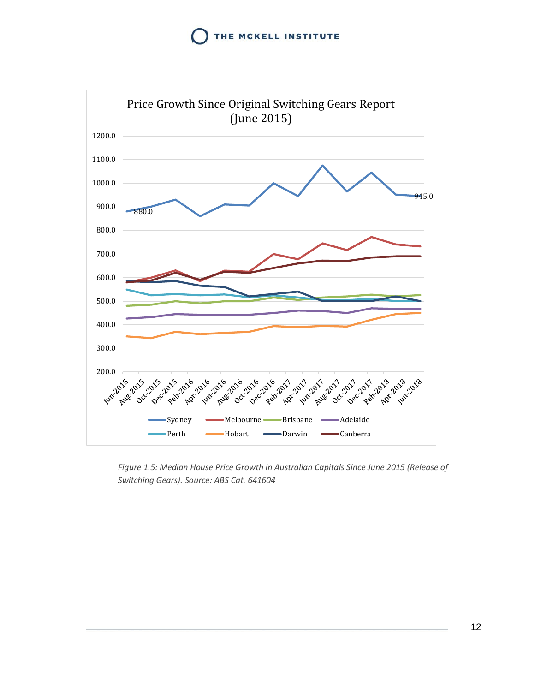

*Figure 1.5: Median House Price Growth in Australian Capitals Since June 2015 (Release of Switching Gears). Source: ABS Cat. 641604*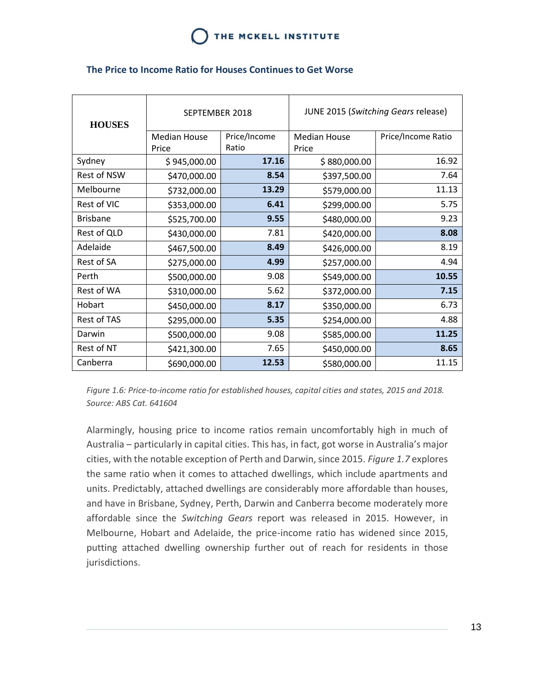| <b>HOUSES</b>   | SEPTEMBER 2018      |              | JUNE 2015 (Switching Gears release) |                    |
|-----------------|---------------------|--------------|-------------------------------------|--------------------|
|                 | <b>Median House</b> | Price/Income | <b>Median House</b>                 | Price/Income Ratio |
|                 | Price               | Ratio        | Price                               |                    |
| Sydney          | \$945,000.00        | 17.16        | \$880,000.00                        | 16.92              |
| Rest of NSW     | \$470,000.00        | 8.54         | \$397,500.00                        | 7.64               |
| Melbourne       | \$732,000.00        | 13.29        | \$579,000.00                        | 11.13              |
| Rest of VIC     | \$353,000.00        | 6.41         | \$299,000.00                        | 5.75               |
| <b>Brisbane</b> | \$525,700.00        | 9.55         | \$480,000.00                        | 9.23               |
| Rest of QLD     | \$430,000.00        | 7.81         | \$420,000.00                        | 8.08               |
| Adelaide        | \$467,500.00        | 8.49         | \$426,000.00                        | 8.19               |
| Rest of SA      | \$275,000.00        | 4.99         | \$257,000.00                        | 4.94               |
| Perth           | \$500,000.00        | 9.08         | \$549,000.00                        | 10.55              |
| Rest of WA      | \$310,000.00        | 5.62         | \$372,000.00                        | 7.15               |
| Hobart          | \$450,000.00        | 8.17         | \$350,000.00                        | 6.73               |
| Rest of TAS     | \$295,000.00        | 5.35         | \$254,000.00                        | 4.88               |
| Darwin          | \$500,000.00        | 9.08         | \$585,000.00                        | 11.25              |
| Rest of NT      | \$421,300.00        | 7.65         | \$450,000.00                        | 8.65               |
| Canberra        | \$690,000.00        | 12.53        | \$580,000.00                        | 11.15              |

#### <span id="page-13-0"></span>**The Price to Income Ratio for Houses Continues to Get Worse**

*Figure 1.6: Price-to-income ratio for established houses, capital cities and states, 2015 and 2018. Source: ABS Cat. 641604*

Alarmingly, housing price to income ratios remain uncomfortably high in much of Australia – particularly in capital cities. This has, in fact, got worse in Australia's major cities, with the notable exception of Perth and Darwin, since 2015. *Figure 1.7* explores the same ratio when it comes to attached dwellings, which include apartments and units. Predictably, attached dwellings are considerably more affordable than houses, and have in Brisbane, Sydney, Perth, Darwin and Canberra become moderately more affordable since the *Switching Gears* report was released in 2015. However, in Melbourne, Hobart and Adelaide, the price-income ratio has widened since 2015, putting attached dwelling ownership further out of reach for residents in those jurisdictions.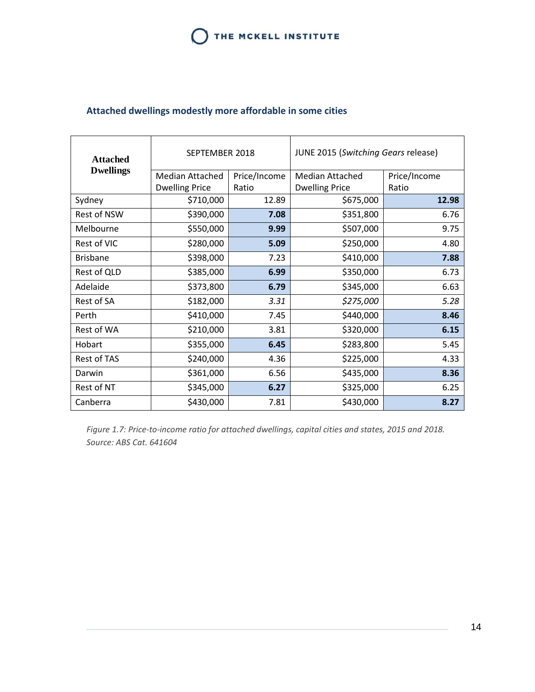### <span id="page-14-0"></span>**Attached dwellings modestly more affordable in some cities**

| <b>Attached</b>    | SEPTEMBER 2018        |              | JUNE 2015 (Switching Gears release) |              |
|--------------------|-----------------------|--------------|-------------------------------------|--------------|
| <b>Dwellings</b>   | Median Attached       | Price/Income | Median Attached                     | Price/Income |
|                    | <b>Dwelling Price</b> | Ratio        | <b>Dwelling Price</b>               | Ratio        |
| Sydney             | \$710,000             | 12.89        | \$675,000                           | 12.98        |
| <b>Rest of NSW</b> | \$390,000             | 7.08         | \$351,800                           | 6.76         |
| Melbourne          | \$550,000             | 9.99         | \$507,000                           | 9.75         |
| Rest of VIC        | \$280,000             | 5.09         | \$250,000                           | 4.80         |
| <b>Brisbane</b>    | \$398,000             | 7.23         | \$410,000                           | 7.88         |
| Rest of QLD        | \$385,000             | 6.99         | \$350,000                           | 6.73         |
| Adelaide           | \$373,800             | 6.79         | \$345,000                           | 6.63         |
| Rest of SA         | \$182,000             | 3.31         | \$275,000                           | 5.28         |
| Perth              | \$410,000             | 7.45         | \$440,000                           | 8.46         |
| Rest of WA         | \$210,000             | 3.81         | \$320,000                           | 6.15         |
| Hobart             | \$355,000             | 6.45         | \$283,800                           | 5.45         |
| <b>Rest of TAS</b> | \$240,000             | 4.36         | \$225,000                           | 4.33         |
| Darwin             | \$361,000             | 6.56         | \$435,000                           | 8.36         |
| Rest of NT         | \$345,000             | 6.27         | \$325,000                           | 6.25         |
| Canberra           | \$430,000             | 7.81         | \$430,000                           | 8.27         |

*Figure 1.7: Price-to-income ratio for attached dwellings, capital cities and states, 2015 and 2018. Source: ABS Cat. 641604*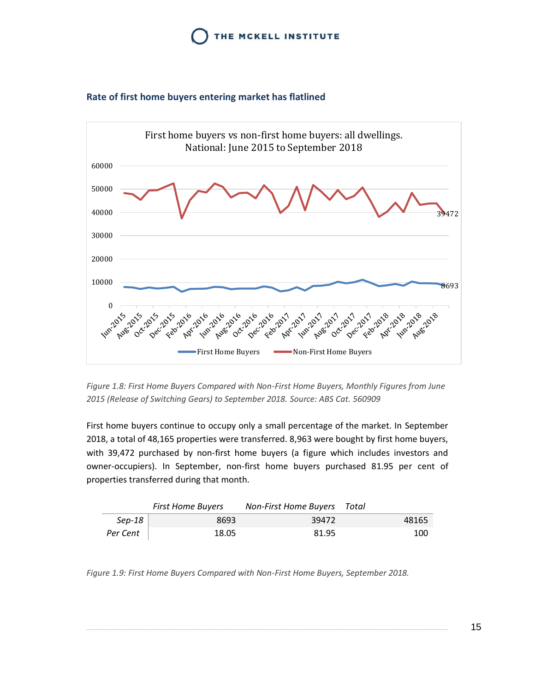



#### <span id="page-15-0"></span>**Rate of first home buyers entering market has flatlined**

*Figure 1.8: First Home Buyers Compared with Non-First Home Buyers, Monthly Figures from June 2015 (Release of Switching Gears) to September 2018. Source: ABS Cat. 560909*

First home buyers continue to occupy only a small percentage of the market. In September 2018, a total of 48,165 properties were transferred. 8,963 were bought by first home buyers, with 39,472 purchased by non-first home buyers (a figure which includes investors and owner-occupiers). In September, non-first home buyers purchased 81.95 per cent of properties transferred during that month.

|          | <b>First Home Buyers</b> | <b>Non-First Home Buyers</b> Total |       |
|----------|--------------------------|------------------------------------|-------|
| Sep-18   | 8693                     | 39472                              | 48165 |
| Per Cent | 18.05                    | 81.95                              | 100   |

*Figure 1.9: First Home Buyers Compared with Non-First Home Buyers, September 2018.*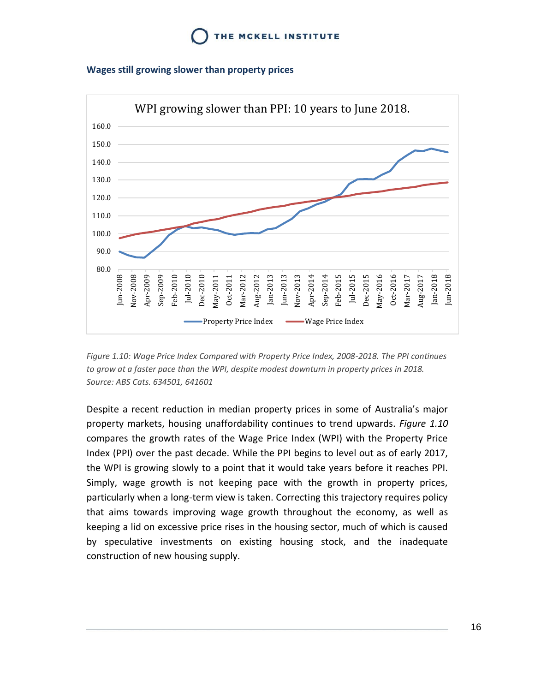#### <span id="page-16-0"></span>**Wages still growing slower than property prices**



*Figure 1.10: Wage Price Index Compared with Property Price Index, 2008-2018. The PPI continues to grow at a faster pace than the WPI, despite modest downturn in property prices in 2018. Source: ABS Cats. 634501, 641601*

Despite a recent reduction in median property prices in some of Australia's major property markets, housing unaffordability continues to trend upwards. *Figure 1.10* compares the growth rates of the Wage Price Index (WPI) with the Property Price Index (PPI) over the past decade. While the PPI begins to level out as of early 2017, the WPI is growing slowly to a point that it would take years before it reaches PPI. Simply, wage growth is not keeping pace with the growth in property prices, particularly when a long-term view is taken. Correcting this trajectory requires policy that aims towards improving wage growth throughout the economy, as well as keeping a lid on excessive price rises in the housing sector, much of which is caused by speculative investments on existing housing stock, and the inadequate construction of new housing supply.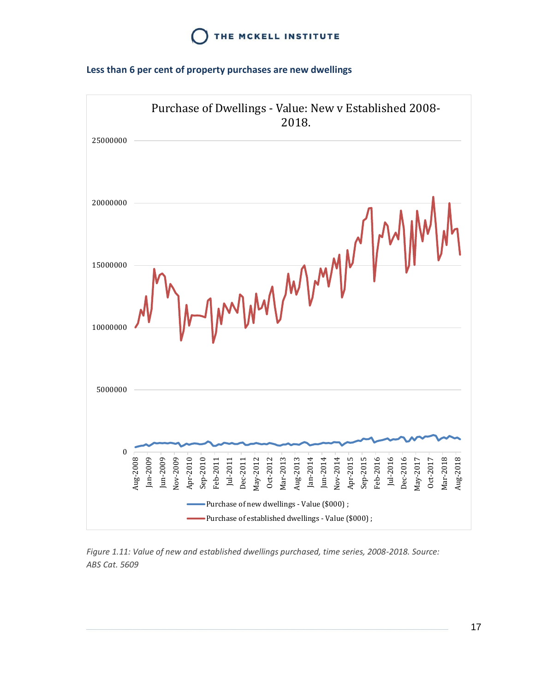#### <span id="page-17-0"></span>**Less than 6 per cent of property purchases are new dwellings**



*Figure 1.11: Value of new and established dwellings purchased, time series, 2008-2018. Source: ABS Cat. 5609*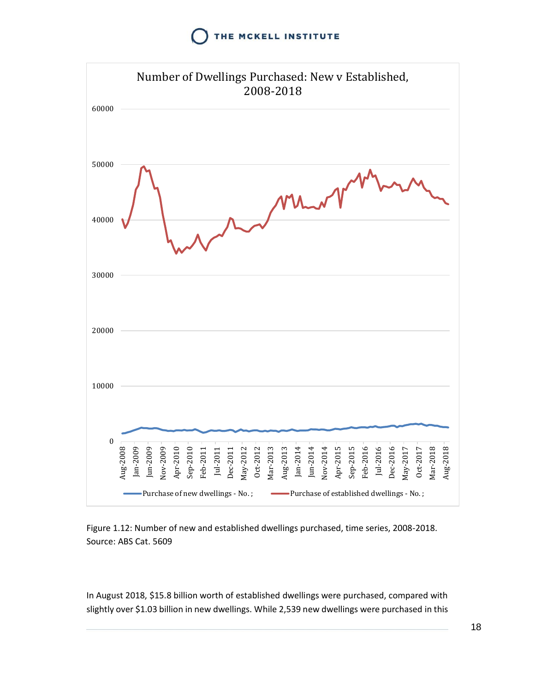

Figure 1.12: Number of new and established dwellings purchased, time series, 2008-2018. Source: ABS Cat. 5609

In August 2018, \$15.8 billion worth of established dwellings were purchased, compared with slightly over \$1.03 billion in new dwellings. While 2,539 new dwellings were purchased in this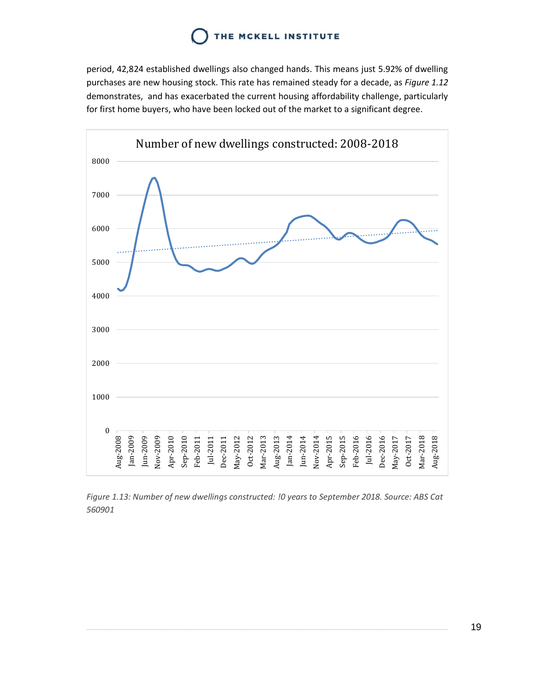period, 42,824 established dwellings also changed hands. This means just 5.92% of dwelling purchases are new housing stock. This rate has remained steady for a decade, as *Figure 1.12* demonstrates, and has exacerbated the current housing affordability challenge, particularly for first home buyers, who have been locked out of the market to a significant degree.



*Figure 1.13: Number of new dwellings constructed: !0 years to September 2018. Source: ABS Cat 560901*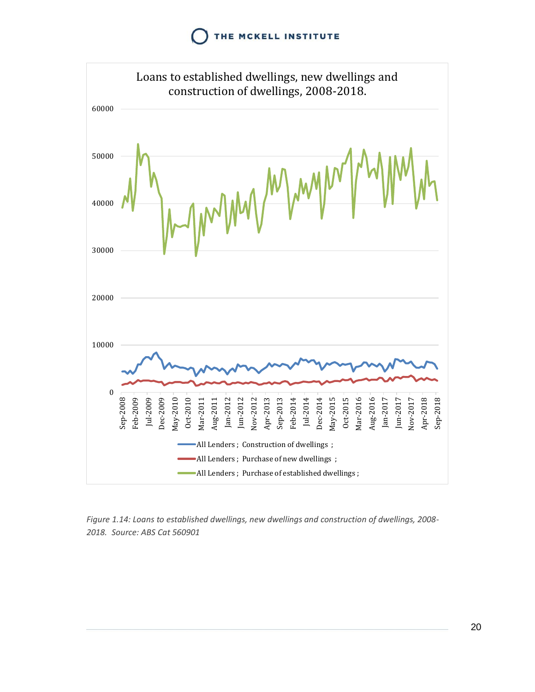

*Figure 1.14: Loans to established dwellings, new dwellings and construction of dwellings, 2008- 2018. Source: ABS Cat 560901*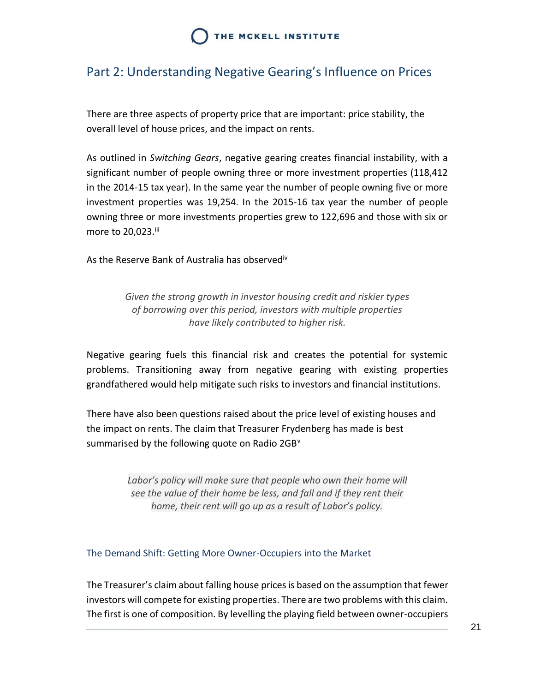## <span id="page-21-0"></span>Part 2: Understanding Negative Gearing's Influence on Prices

There are three aspects of property price that are important: price stability, the overall level of house prices, and the impact on rents.

As outlined in *Switching Gears*, negative gearing creates financial instability, with a significant number of people owning three or more investment properties (118,412 in the 2014-15 tax year). In the same year the number of people owning five or more investment properties was 19,254. In the 2015-16 tax year the number of people owning three or more investments properties grew to 122,696 and those with six or more to 20.023.iii

As the Reserve Bank of Australia has observed<sup>iv</sup>

*Given the strong growth in investor housing credit and riskier types of borrowing over this period, investors with multiple properties have likely contributed to higher risk.*

Negative gearing fuels this financial risk and creates the potential for systemic problems. Transitioning away from negative gearing with existing properties grandfathered would help mitigate such risks to investors and financial institutions.

There have also been questions raised about the price level of existing houses and the impact on rents. The claim that Treasurer Frydenberg has made is best summarised by the following quote on Radio 2GB<sup>V</sup>

> *Labor's policy will make sure that people who own their home will see the value of their home be less, and fall and if they rent their home, their rent will go up as a result of Labor's policy.*

#### <span id="page-21-1"></span>The Demand Shift: Getting More Owner-Occupiers into the Market

The Treasurer's claim about falling house pricesis based on the assumption that fewer investors will compete for existing properties. There are two problems with this claim. The first is one of composition. By levelling the playing field between owner-occupiers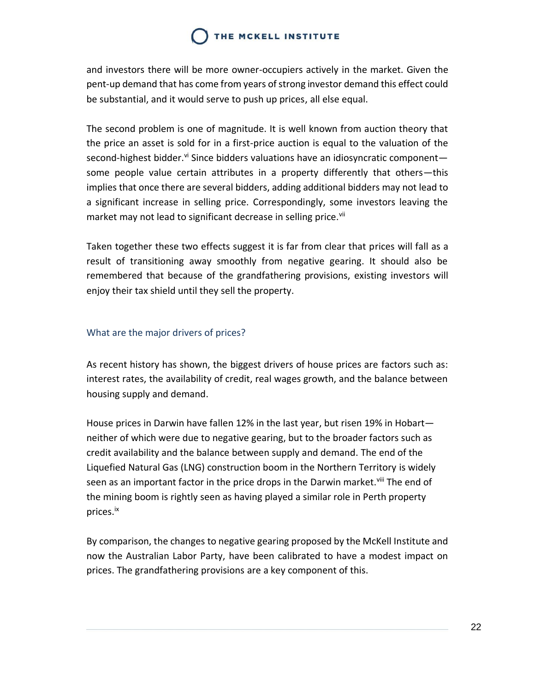and investors there will be more owner-occupiers actively in the market. Given the pent-up demand that has come from years of strong investor demand this effect could be substantial, and it would serve to push up prices, all else equal.

The second problem is one of magnitude. It is well known from auction theory that the price an asset is sold for in a first-price auction is equal to the valuation of the second-highest bidder.<sup>vi</sup> Since bidders valuations have an idiosyncratic componentsome people value certain attributes in a property differently that others—this implies that once there are several bidders, adding additional bidders may not lead to a significant increase in selling price. Correspondingly, some investors leaving the market may not lead to significant decrease in selling price.<sup>vii</sup>

Taken together these two effects suggest it is far from clear that prices will fall as a result of transitioning away smoothly from negative gearing. It should also be remembered that because of the grandfathering provisions, existing investors will enjoy their tax shield until they sell the property.

#### <span id="page-22-0"></span>What are the major drivers of prices?

As recent history has shown, the biggest drivers of house prices are factors such as: interest rates, the availability of credit, real wages growth, and the balance between housing supply and demand.

House prices in Darwin have fallen 12% in the last year, but risen 19% in Hobart neither of which were due to negative gearing, but to the broader factors such as credit availability and the balance between supply and demand. The end of the Liquefied Natural Gas (LNG) construction boom in the Northern Territory is widely seen as an important factor in the price drops in the Darwin market.<sup>viii</sup> The end of the mining boom is rightly seen as having played a similar role in Perth property prices.ix

By comparison, the changes to negative gearing proposed by the McKell Institute and now the Australian Labor Party, have been calibrated to have a modest impact on prices. The grandfathering provisions are a key component of this.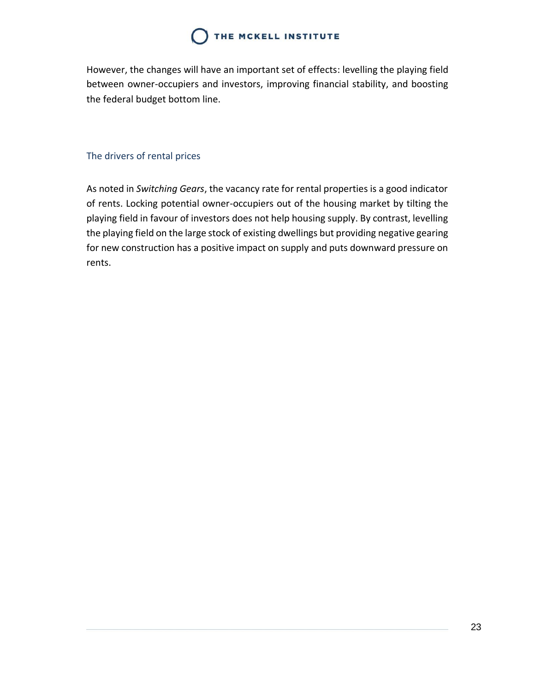However, the changes will have an important set of effects: levelling the playing field between owner-occupiers and investors, improving financial stability, and boosting the federal budget bottom line.

### <span id="page-23-0"></span>The drivers of rental prices

As noted in *Switching Gears*, the vacancy rate for rental properties is a good indicator of rents. Locking potential owner-occupiers out of the housing market by tilting the playing field in favour of investors does not help housing supply. By contrast, levelling the playing field on the large stock of existing dwellings but providing negative gearing for new construction has a positive impact on supply and puts downward pressure on rents.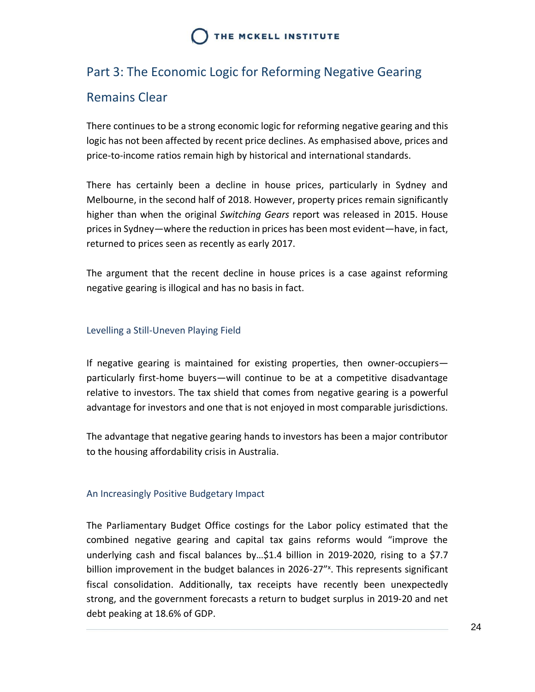# <span id="page-24-0"></span>Part 3: The Economic Logic for Reforming Negative Gearing

### Remains Clear

There continues to be a strong economic logic for reforming negative gearing and this logic has not been affected by recent price declines. As emphasised above, prices and price-to-income ratios remain high by historical and international standards.

There has certainly been a decline in house prices, particularly in Sydney and Melbourne, in the second half of 2018. However, property prices remain significantly higher than when the original *Switching Gears* report was released in 2015. House prices in Sydney—where the reduction in prices has been most evident—have, in fact, returned to prices seen as recently as early 2017.

The argument that the recent decline in house prices is a case against reforming negative gearing is illogical and has no basis in fact.

#### <span id="page-24-1"></span>Levelling a Still-Uneven Playing Field

If negative gearing is maintained for existing properties, then owner-occupiers particularly first-home buyers—will continue to be at a competitive disadvantage relative to investors. The tax shield that comes from negative gearing is a powerful advantage for investors and one that is not enjoyed in most comparable jurisdictions.

The advantage that negative gearing hands to investors has been a major contributor to the housing affordability crisis in Australia.

### <span id="page-24-2"></span>An Increasingly Positive Budgetary Impact

The Parliamentary Budget Office costings for the Labor policy estimated that the combined negative gearing and capital tax gains reforms would "improve the underlying cash and fiscal balances by…\$1.4 billion in 2019-2020, rising to a \$7.7 billion improvement in the budget balances in 2026-27"<sup>x</sup>. This represents significant fiscal consolidation. Additionally, tax receipts have recently been unexpectedly strong, and the government forecasts a return to budget surplus in 2019-20 and net debt peaking at 18.6% of GDP.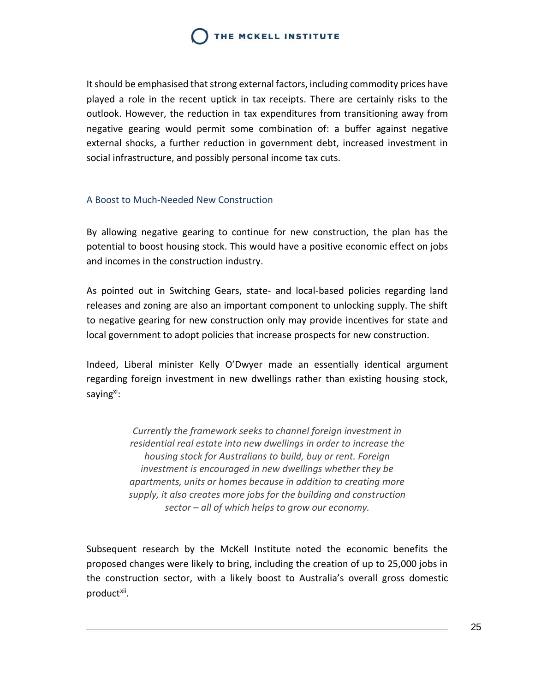It should be emphasised that strong external factors, including commodity prices have played a role in the recent uptick in tax receipts. There are certainly risks to the outlook. However, the reduction in tax expenditures from transitioning away from negative gearing would permit some combination of: a buffer against negative external shocks, a further reduction in government debt, increased investment in social infrastructure, and possibly personal income tax cuts.

#### <span id="page-25-0"></span>A Boost to Much-Needed New Construction

By allowing negative gearing to continue for new construction, the plan has the potential to boost housing stock. This would have a positive economic effect on jobs and incomes in the construction industry.

As pointed out in Switching Gears, state- and local-based policies regarding land releases and zoning are also an important component to unlocking supply. The shift to negative gearing for new construction only may provide incentives for state and local government to adopt policies that increase prospects for new construction.

Indeed, Liberal minister Kelly O'Dwyer made an essentially identical argument regarding foreign investment in new dwellings rather than existing housing stock, saying<sup>xi</sup>:

> *Currently the framework seeks to channel foreign investment in residential real estate into new dwellings in order to increase the housing stock for Australians to build, buy or rent. Foreign investment is encouraged in new dwellings whether they be apartments, units or homes because in addition to creating more supply, it also creates more jobs for the building and construction sector – all of which helps to grow our economy.*

Subsequent research by the McKell Institute noted the economic benefits the proposed changes were likely to bring, including the creation of up to 25,000 jobs in the construction sector, with a likely boost to Australia's overall gross domestic product<sup>xii</sup>.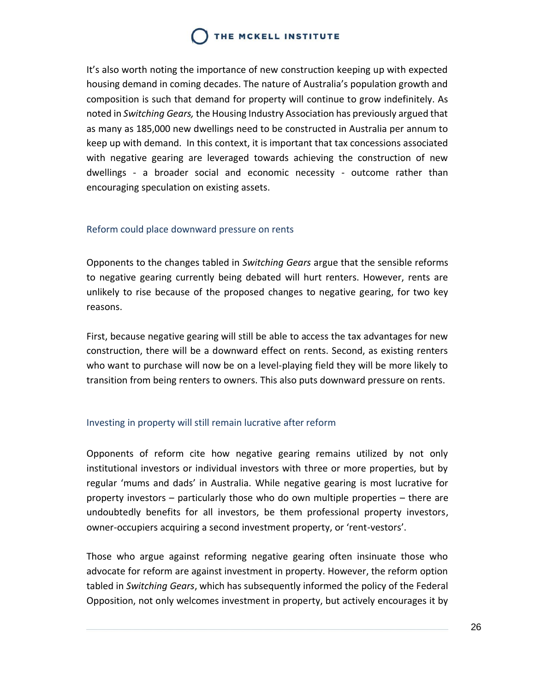It's also worth noting the importance of new construction keeping up with expected housing demand in coming decades. The nature of Australia's population growth and composition is such that demand for property will continue to grow indefinitely. As noted in *Switching Gears,* the Housing Industry Association has previously argued that as many as 185,000 new dwellings need to be constructed in Australia per annum to keep up with demand. In this context, it is important that tax concessions associated with negative gearing are leveraged towards achieving the construction of new dwellings - a broader social and economic necessity - outcome rather than encouraging speculation on existing assets.

#### <span id="page-26-0"></span>Reform could place downward pressure on rents

Opponents to the changes tabled in *Switching Gears* argue that the sensible reforms to negative gearing currently being debated will hurt renters. However, rents are unlikely to rise because of the proposed changes to negative gearing, for two key reasons.

First, because negative gearing will still be able to access the tax advantages for new construction, there will be a downward effect on rents. Second, as existing renters who want to purchase will now be on a level-playing field they will be more likely to transition from being renters to owners. This also puts downward pressure on rents.

### <span id="page-26-1"></span>Investing in property will still remain lucrative after reform

Opponents of reform cite how negative gearing remains utilized by not only institutional investors or individual investors with three or more properties, but by regular 'mums and dads' in Australia. While negative gearing is most lucrative for property investors – particularly those who do own multiple properties – there are undoubtedly benefits for all investors, be them professional property investors, owner-occupiers acquiring a second investment property, or 'rent-vestors'.

Those who argue against reforming negative gearing often insinuate those who advocate for reform are against investment in property. However, the reform option tabled in *Switching Gears*, which has subsequently informed the policy of the Federal Opposition, not only welcomes investment in property, but actively encourages it by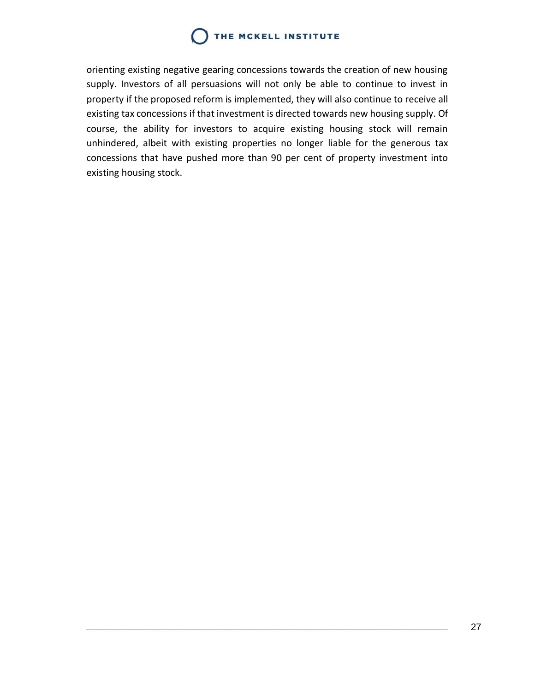orienting existing negative gearing concessions towards the creation of new housing supply. Investors of all persuasions will not only be able to continue to invest in property if the proposed reform is implemented, they will also continue to receive all existing tax concessions if that investment is directed towards new housing supply. Of course, the ability for investors to acquire existing housing stock will remain unhindered, albeit with existing properties no longer liable for the generous tax concessions that have pushed more than 90 per cent of property investment into existing housing stock.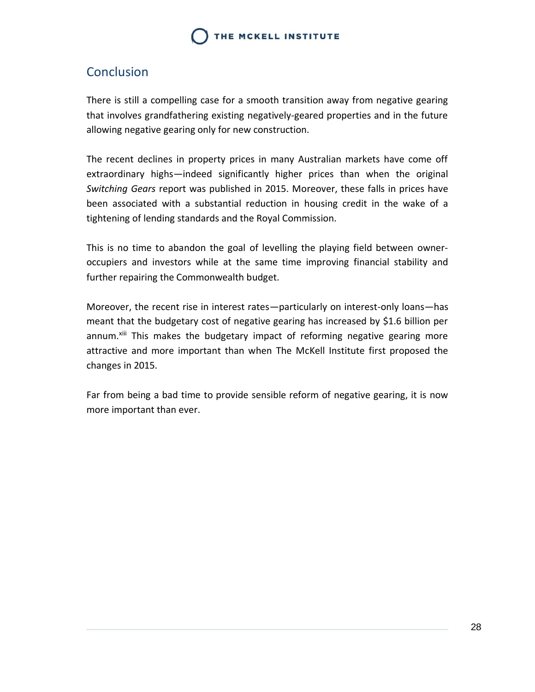### <span id="page-28-0"></span>Conclusion

There is still a compelling case for a smooth transition away from negative gearing that involves grandfathering existing negatively-geared properties and in the future allowing negative gearing only for new construction.

The recent declines in property prices in many Australian markets have come off extraordinary highs—indeed significantly higher prices than when the original *Switching Gears* report was published in 2015. Moreover, these falls in prices have been associated with a substantial reduction in housing credit in the wake of a tightening of lending standards and the Royal Commission.

This is no time to abandon the goal of levelling the playing field between owneroccupiers and investors while at the same time improving financial stability and further repairing the Commonwealth budget.

Moreover, the recent rise in interest rates—particularly on interest-only loans—has meant that the budgetary cost of negative gearing has increased by \$1.6 billion per annum.<sup>xiii</sup> This makes the budgetary impact of reforming negative gearing more attractive and more important than when The McKell Institute first proposed the changes in 2015.

Far from being a bad time to provide sensible reform of negative gearing, it is now more important than ever.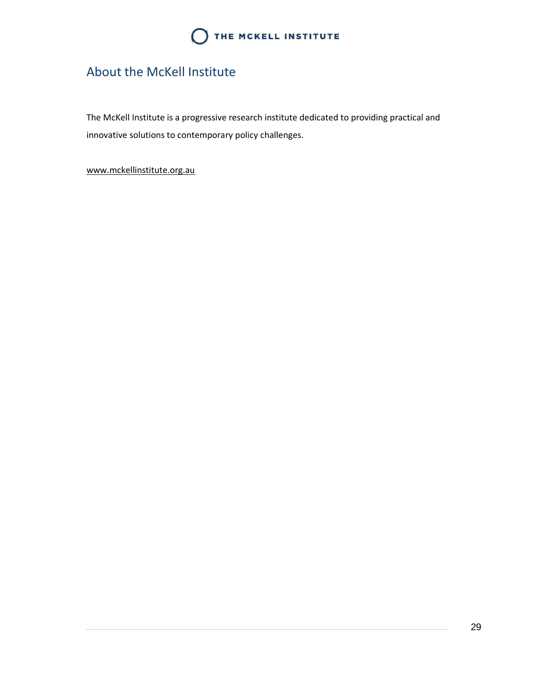

### <span id="page-29-0"></span>About the McKell Institute

The McKell Institute is a progressive research institute dedicated to providing practical and innovative solutions to contemporary policy challenges.

[www.mckellinstitute.org.au](http://www.mckellinstitute.org.au/)